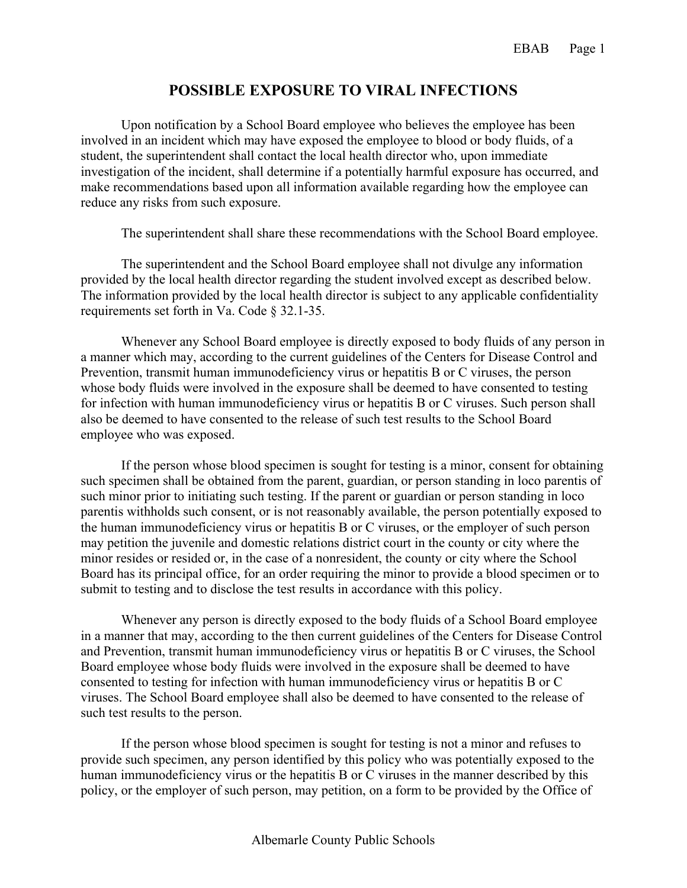## **POSSIBLE EXPOSURE TO VIRAL INFECTIONS**

Upon notification by a School Board employee who believes the employee has been involved in an incident which may have exposed the employee to blood or body fluids, of a student, the superintendent shall contact the local health director who, upon immediate investigation of the incident, shall determine if a potentially harmful exposure has occurred, and make recommendations based upon all information available regarding how the employee can reduce any risks from such exposure.

The superintendent shall share these recommendations with the School Board employee.

The superintendent and the School Board employee shall not divulge any information provided by the local health director regarding the student involved except as described below. The information provided by the local health director is subject to any applicable confidentiality requirements set forth in Va. Code § 32.1-35.

Whenever any School Board employee is directly exposed to body fluids of any person in a manner which may, according to the current guidelines of the Centers for Disease Control and Prevention, transmit human immunodeficiency virus or hepatitis B or C viruses, the person whose body fluids were involved in the exposure shall be deemed to have consented to testing for infection with human immunodeficiency virus or hepatitis B or C viruses. Such person shall also be deemed to have consented to the release of such test results to the School Board employee who was exposed.

If the person whose blood specimen is sought for testing is a minor, consent for obtaining such specimen shall be obtained from the parent, guardian, or person standing in loco parentis of such minor prior to initiating such testing. If the parent or guardian or person standing in loco parentis withholds such consent, or is not reasonably available, the person potentially exposed to the human immunodeficiency virus or hepatitis B or C viruses, or the employer of such person may petition the juvenile and domestic relations district court in the county or city where the minor resides or resided or, in the case of a nonresident, the county or city where the School Board has its principal office, for an order requiring the minor to provide a blood specimen or to submit to testing and to disclose the test results in accordance with this policy.

Whenever any person is directly exposed to the body fluids of a School Board employee in a manner that may, according to the then current guidelines of the Centers for Disease Control and Prevention, transmit human immunodeficiency virus or hepatitis B or C viruses, the School Board employee whose body fluids were involved in the exposure shall be deemed to have consented to testing for infection with human immunodeficiency virus or hepatitis B or C viruses. The School Board employee shall also be deemed to have consented to the release of such test results to the person.

If the person whose blood specimen is sought for testing is not a minor and refuses to provide such specimen, any person identified by this policy who was potentially exposed to the human immunodeficiency virus or the hepatitis B or C viruses in the manner described by this policy, or the employer of such person, may petition, on a form to be provided by the Office of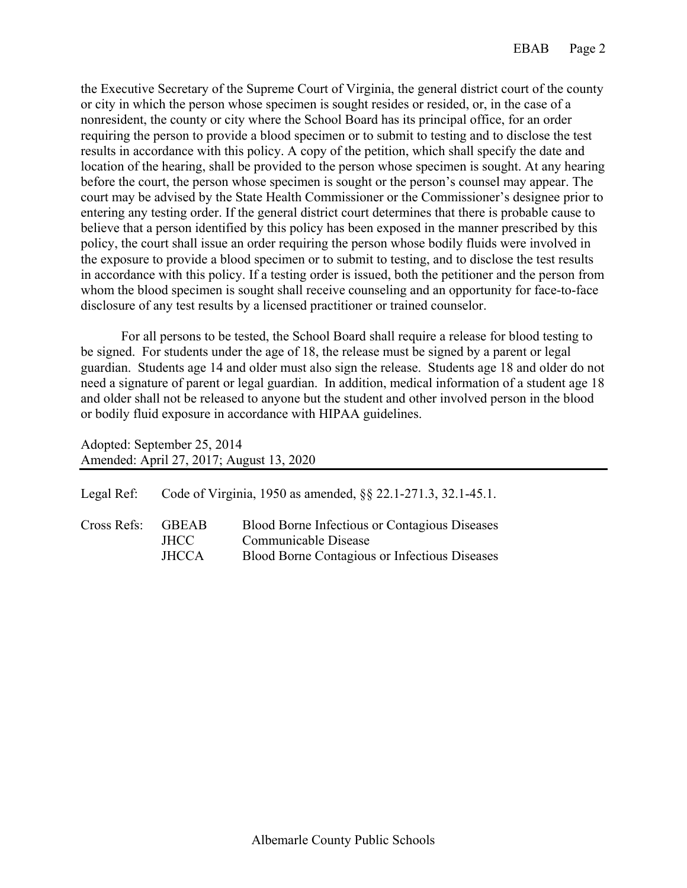the Executive Secretary of the Supreme Court of Virginia, the general district court of the county or city in which the person whose specimen is sought resides or resided, or, in the case of a nonresident, the county or city where the School Board has its principal office, for an order requiring the person to provide a blood specimen or to submit to testing and to disclose the test results in accordance with this policy. A copy of the petition, which shall specify the date and location of the hearing, shall be provided to the person whose specimen is sought. At any hearing before the court, the person whose specimen is sought or the person's counsel may appear. The court may be advised by the State Health Commissioner or the Commissioner's designee prior to entering any testing order. If the general district court determines that there is probable cause to believe that a person identified by this policy has been exposed in the manner prescribed by this policy, the court shall issue an order requiring the person whose bodily fluids were involved in the exposure to provide a blood specimen or to submit to testing, and to disclose the test results in accordance with this policy. If a testing order is issued, both the petitioner and the person from whom the blood specimen is sought shall receive counseling and an opportunity for face-to-face disclosure of any test results by a licensed practitioner or trained counselor.

For all persons to be tested, the School Board shall require a release for blood testing to be signed. For students under the age of 18, the release must be signed by a parent or legal guardian. Students age 14 and older must also sign the release. Students age 18 and older do not need a signature of parent or legal guardian. In addition, medical information of a student age 18 and older shall not be released to anyone but the student and other involved person in the blood or bodily fluid exposure in accordance with HIPAA guidelines.

Adopted: September 25, 2014 Amended: April 27, 2017; August 13, 2020

| Legal Ref:        |                       | Code of Virginia, 1950 as amended, §§ 22.1-271.3, 32.1-45.1.                                                                  |
|-------------------|-----------------------|-------------------------------------------------------------------------------------------------------------------------------|
| Cross Refs: GBEAB | JHCC.<br><b>JHCCA</b> | <b>Blood Borne Infectious or Contagious Diseases</b><br>Communicable Disease<br>Blood Borne Contagious or Infectious Diseases |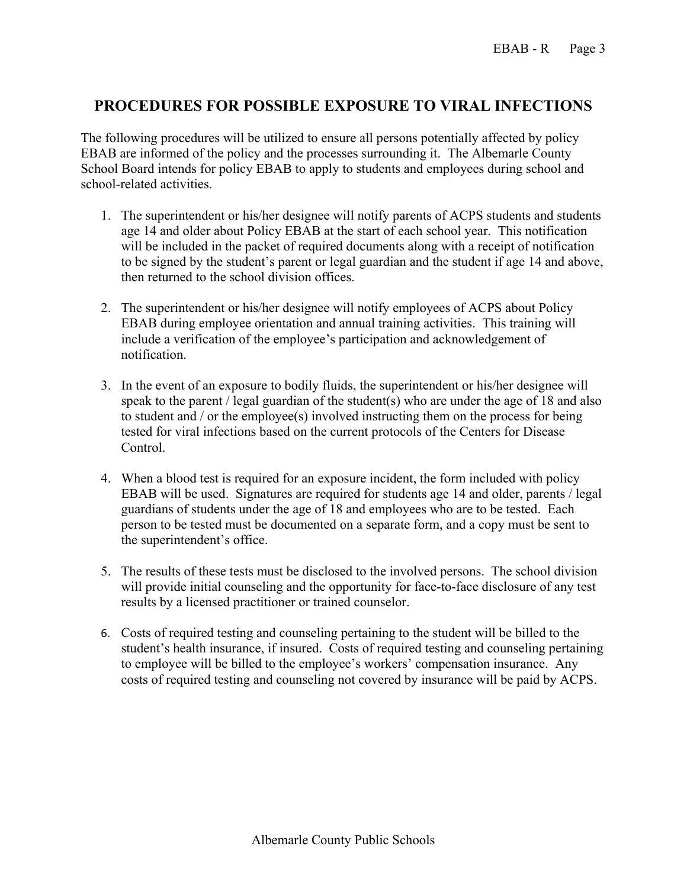## **PROCEDURES FOR POSSIBLE EXPOSURE TO VIRAL INFECTIONS**

The following procedures will be utilized to ensure all persons potentially affected by policy EBAB are informed of the policy and the processes surrounding it. The Albemarle County School Board intends for policy EBAB to apply to students and employees during school and school-related activities.

- 1. The superintendent or his/her designee will notify parents of ACPS students and students age 14 and older about Policy EBAB at the start of each school year. This notification will be included in the packet of required documents along with a receipt of notification to be signed by the student's parent or legal guardian and the student if age 14 and above, then returned to the school division offices.
- 2. The superintendent or his/her designee will notify employees of ACPS about Policy EBAB during employee orientation and annual training activities. This training will include a verification of the employee's participation and acknowledgement of notification.
- 3. In the event of an exposure to bodily fluids, the superintendent or his/her designee will speak to the parent / legal guardian of the student(s) who are under the age of 18 and also to student and / or the employee(s) involved instructing them on the process for being tested for viral infections based on the current protocols of the Centers for Disease Control.
- 4. When a blood test is required for an exposure incident, the form included with policy EBAB will be used. Signatures are required for students age 14 and older, parents / legal guardians of students under the age of 18 and employees who are to be tested. Each person to be tested must be documented on a separate form, and a copy must be sent to the superintendent's office.
- 5. The results of these tests must be disclosed to the involved persons. The school division will provide initial counseling and the opportunity for face-to-face disclosure of any test results by a licensed practitioner or trained counselor.
- 6. Costs of required testing and counseling pertaining to the student will be billed to the student's health insurance, if insured. Costs of required testing and counseling pertaining to employee will be billed to the employee's workers' compensation insurance. Any costs of required testing and counseling not covered by insurance will be paid by ACPS.